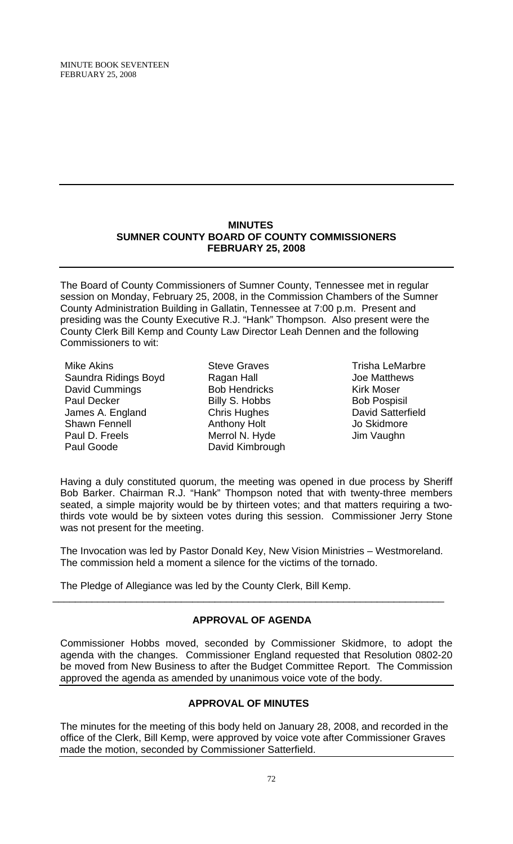#### **MINUTES SUMNER COUNTY BOARD OF COUNTY COMMISSIONERS FEBRUARY 25, 2008**

The Board of County Commissioners of Sumner County, Tennessee met in regular session on Monday, February 25, 2008, in the Commission Chambers of the Sumner County Administration Building in Gallatin, Tennessee at 7:00 p.m. Present and presiding was the County Executive R.J. "Hank" Thompson. Also present were the County Clerk Bill Kemp and County Law Director Leah Dennen and the following Commissioners to wit:

Mike Akins Saundra Ridings Boyd David Cummings Paul Decker James A. England Shawn Fennell Paul D. Freels Paul Goode

Steve Graves Ragan Hall Bob Hendricks Billy S. Hobbs Chris Hughes Anthony Holt Merrol N. Hyde David Kimbrough

Trisha LeMarbre Joe Matthews Kirk Moser Bob Pospisil David Satterfield Jo Skidmore Jim Vaughn

Having a duly constituted quorum, the meeting was opened in due process by Sheriff Bob Barker. Chairman R.J. "Hank" Thompson noted that with twenty-three members seated, a simple majority would be by thirteen votes; and that matters requiring a twothirds vote would be by sixteen votes during this session. Commissioner Jerry Stone was not present for the meeting.

The Invocation was led by Pastor Donald Key, New Vision Ministries – Westmoreland. The commission held a moment a silence for the victims of the tornado.

The Pledge of Allegiance was led by the County Clerk, Bill Kemp.

# **APPROVAL OF AGENDA**

\_\_\_\_\_\_\_\_\_\_\_\_\_\_\_\_\_\_\_\_\_\_\_\_\_\_\_\_\_\_\_\_\_\_\_\_\_\_\_\_\_\_\_\_\_\_\_\_\_\_\_\_\_\_\_\_\_\_\_\_\_\_\_\_\_\_\_\_\_\_

Commissioner Hobbs moved, seconded by Commissioner Skidmore, to adopt the agenda with the changes. Commissioner England requested that Resolution 0802-20 be moved from New Business to after the Budget Committee Report. The Commission approved the agenda as amended by unanimous voice vote of the body.

# **APPROVAL OF MINUTES**

The minutes for the meeting of this body held on January 28, 2008, and recorded in the office of the Clerk, Bill Kemp, were approved by voice vote after Commissioner Graves made the motion, seconded by Commissioner Satterfield.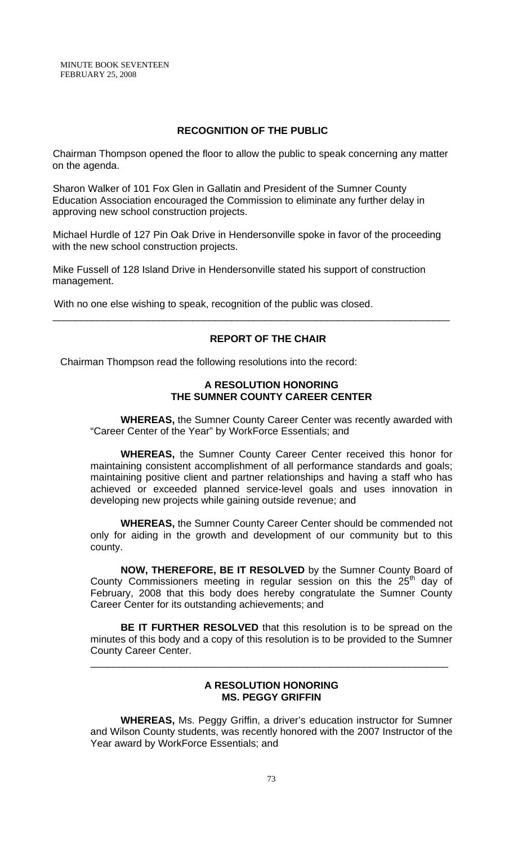## **RECOGNITION OF THE PUBLIC**

Chairman Thompson opened the floor to allow the public to speak concerning any matter on the agenda.

Sharon Walker of 101 Fox Glen in Gallatin and President of the Sumner County Education Association encouraged the Commission to eliminate any further delay in approving new school construction projects.

Michael Hurdle of 127 Pin Oak Drive in Hendersonville spoke in favor of the proceeding with the new school construction projects.

\_\_\_\_\_\_\_\_\_\_\_\_\_\_\_\_\_\_\_\_\_\_\_\_\_\_\_\_\_\_\_\_\_\_\_\_\_\_\_\_\_\_\_\_\_\_\_\_\_\_\_\_\_\_\_\_\_\_\_\_\_\_\_\_\_\_\_\_\_\_\_

Mike Fussell of 128 Island Drive in Hendersonville stated his support of construction management.

With no one else wishing to speak, recognition of the public was closed.

#### **REPORT OF THE CHAIR**

Chairman Thompson read the following resolutions into the record:

#### **A RESOLUTION HONORING THE SUMNER COUNTY CAREER CENTER**

 **WHEREAS,** the Sumner County Career Center was recently awarded with "Career Center of the Year" by WorkForce Essentials; and

**WHEREAS,** the Sumner County Career Center received this honor for maintaining consistent accomplishment of all performance standards and goals; maintaining positive client and partner relationships and having a staff who has achieved or exceeded planned service-level goals and uses innovation in developing new projects while gaining outside revenue; and

**WHEREAS,** the Sumner County Career Center should be commended not only for aiding in the growth and development of our community but to this county.

**NOW, THEREFORE, BE IT RESOLVED** by the Sumner County Board of County Commissioners meeting in regular session on this the  $25<sup>th</sup>$  day of February, 2008 that this body does hereby congratulate the Sumner County Career Center for its outstanding achievements; and

**BE IT FURTHER RESOLVED** that this resolution is to be spread on the minutes of this body and a copy of this resolution is to be provided to the Sumner County Career Center.

\_\_\_\_\_\_\_\_\_\_\_\_\_\_\_\_\_\_\_\_\_\_\_\_\_\_\_\_\_\_\_\_\_\_\_\_\_\_\_\_\_\_\_\_\_\_\_\_\_\_\_\_\_\_\_\_\_\_\_\_\_\_\_\_

## **A RESOLUTION HONORING MS. PEGGY GRIFFIN**

 **WHEREAS,** Ms. Peggy Griffin, a driver's education instructor for Sumner and Wilson County students, was recently honored with the 2007 Instructor of the Year award by WorkForce Essentials; and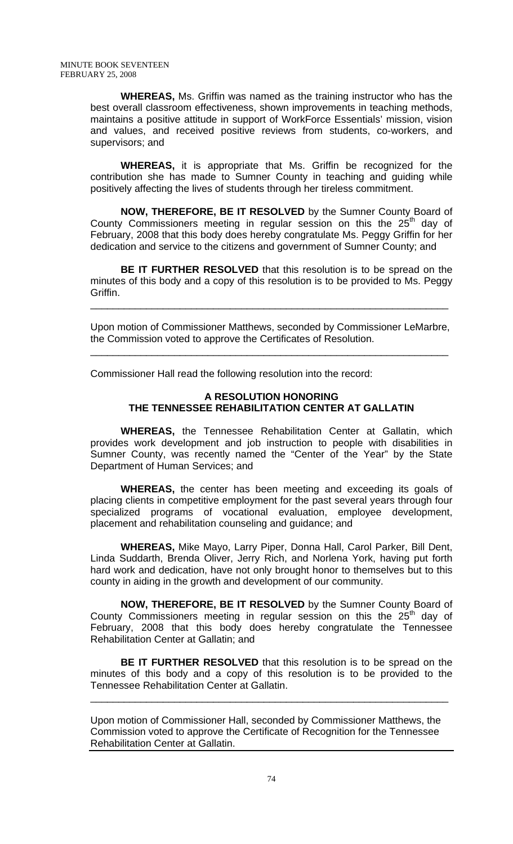**WHEREAS,** Ms. Griffin was named as the training instructor who has the best overall classroom effectiveness, shown improvements in teaching methods, maintains a positive attitude in support of WorkForce Essentials' mission, vision and values, and received positive reviews from students, co-workers, and supervisors; and

**WHEREAS,** it is appropriate that Ms. Griffin be recognized for the contribution she has made to Sumner County in teaching and guiding while positively affecting the lives of students through her tireless commitment.

**NOW, THEREFORE, BE IT RESOLVED** by the Sumner County Board of County Commissioners meeting in regular session on this the  $25<sup>th</sup>$  day of February, 2008 that this body does hereby congratulate Ms. Peggy Griffin for her dedication and service to the citizens and government of Sumner County; and

**BE IT FURTHER RESOLVED** that this resolution is to be spread on the minutes of this body and a copy of this resolution is to be provided to Ms. Peggy Griffin.

Upon motion of Commissioner Matthews, seconded by Commissioner LeMarbre, the Commission voted to approve the Certificates of Resolution.

\_\_\_\_\_\_\_\_\_\_\_\_\_\_\_\_\_\_\_\_\_\_\_\_\_\_\_\_\_\_\_\_\_\_\_\_\_\_\_\_\_\_\_\_\_\_\_\_\_\_\_\_\_\_\_\_\_\_\_\_\_\_\_\_

\_\_\_\_\_\_\_\_\_\_\_\_\_\_\_\_\_\_\_\_\_\_\_\_\_\_\_\_\_\_\_\_\_\_\_\_\_\_\_\_\_\_\_\_\_\_\_\_\_\_\_\_\_\_\_\_\_\_\_\_\_\_\_\_

Commissioner Hall read the following resolution into the record:

# **A RESOLUTION HONORING THE TENNESSEE REHABILITATION CENTER AT GALLATIN**

 **WHEREAS,** the Tennessee Rehabilitation Center at Gallatin, which provides work development and job instruction to people with disabilities in Sumner County, was recently named the "Center of the Year" by the State Department of Human Services; and

**WHEREAS,** the center has been meeting and exceeding its goals of placing clients in competitive employment for the past several years through four specialized programs of vocational evaluation, employee development, placement and rehabilitation counseling and guidance; and

**WHEREAS,** Mike Mayo, Larry Piper, Donna Hall, Carol Parker, Bill Dent, Linda Suddarth, Brenda Oliver, Jerry Rich, and Norlena York, having put forth hard work and dedication, have not only brought honor to themselves but to this county in aiding in the growth and development of our community.

**NOW, THEREFORE, BE IT RESOLVED** by the Sumner County Board of County Commissioners meeting in regular session on this the  $25<sup>th</sup>$  day of February, 2008 that this body does hereby congratulate the Tennessee Rehabilitation Center at Gallatin; and

**BE IT FURTHER RESOLVED** that this resolution is to be spread on the minutes of this body and a copy of this resolution is to be provided to the Tennessee Rehabilitation Center at Gallatin.

\_\_\_\_\_\_\_\_\_\_\_\_\_\_\_\_\_\_\_\_\_\_\_\_\_\_\_\_\_\_\_\_\_\_\_\_\_\_\_\_\_\_\_\_\_\_\_\_\_\_\_\_\_\_\_\_\_\_\_\_\_\_\_\_

Upon motion of Commissioner Hall, seconded by Commissioner Matthews, the Commission voted to approve the Certificate of Recognition for the Tennessee Rehabilitation Center at Gallatin.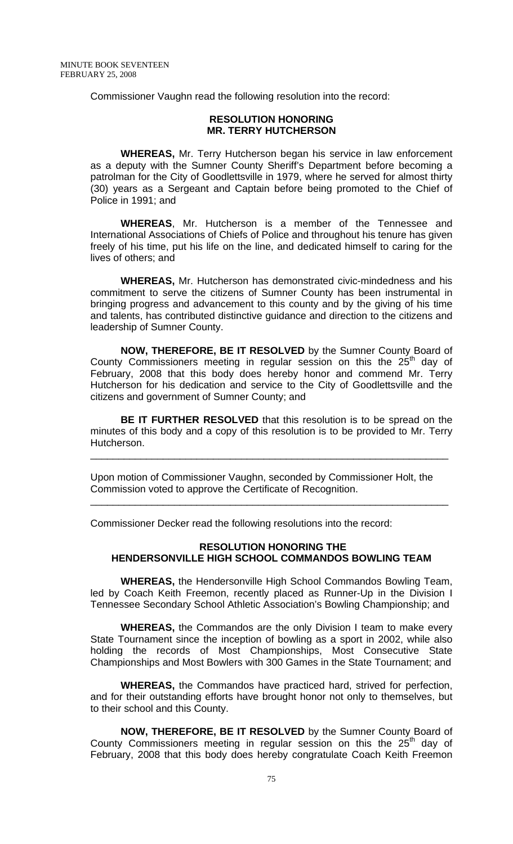Commissioner Vaughn read the following resolution into the record:

#### **RESOLUTION HONORING MR. TERRY HUTCHERSON**

 **WHEREAS,** Mr. Terry Hutcherson began his service in law enforcement as a deputy with the Sumner County Sheriff's Department before becoming a patrolman for the City of Goodlettsville in 1979, where he served for almost thirty (30) years as a Sergeant and Captain before being promoted to the Chief of Police in 1991; and

**WHEREAS**, Mr. Hutcherson is a member of the Tennessee and International Associations of Chiefs of Police and throughout his tenure has given freely of his time, put his life on the line, and dedicated himself to caring for the lives of others; and

**WHEREAS,** Mr. Hutcherson has demonstrated civic-mindedness and his commitment to serve the citizens of Sumner County has been instrumental in bringing progress and advancement to this county and by the giving of his time and talents, has contributed distinctive guidance and direction to the citizens and leadership of Sumner County.

**NOW, THEREFORE, BE IT RESOLVED** by the Sumner County Board of County Commissioners meeting in regular session on this the  $25<sup>th</sup>$  day of February, 2008 that this body does hereby honor and commend Mr. Terry Hutcherson for his dedication and service to the City of Goodlettsville and the citizens and government of Sumner County; and

**BE IT FURTHER RESOLVED** that this resolution is to be spread on the minutes of this body and a copy of this resolution is to be provided to Mr. Terry Hutcherson.

\_\_\_\_\_\_\_\_\_\_\_\_\_\_\_\_\_\_\_\_\_\_\_\_\_\_\_\_\_\_\_\_\_\_\_\_\_\_\_\_\_\_\_\_\_\_\_\_\_\_\_\_\_\_\_\_\_\_\_\_\_\_\_\_

\_\_\_\_\_\_\_\_\_\_\_\_\_\_\_\_\_\_\_\_\_\_\_\_\_\_\_\_\_\_\_\_\_\_\_\_\_\_\_\_\_\_\_\_\_\_\_\_\_\_\_\_\_\_\_\_\_\_\_\_\_\_\_\_

Upon motion of Commissioner Vaughn, seconded by Commissioner Holt, the Commission voted to approve the Certificate of Recognition.

Commissioner Decker read the following resolutions into the record:

# **RESOLUTION HONORING THE HENDERSONVILLE HIGH SCHOOL COMMANDOS BOWLING TEAM**

 **WHEREAS,** the Hendersonville High School Commandos Bowling Team, led by Coach Keith Freemon, recently placed as Runner-Up in the Division I Tennessee Secondary School Athletic Association's Bowling Championship; and

**WHEREAS,** the Commandos are the only Division I team to make every State Tournament since the inception of bowling as a sport in 2002, while also holding the records of Most Championships, Most Consecutive State Championships and Most Bowlers with 300 Games in the State Tournament; and

**WHEREAS,** the Commandos have practiced hard, strived for perfection, and for their outstanding efforts have brought honor not only to themselves, but to their school and this County.

**NOW, THEREFORE, BE IT RESOLVED** by the Sumner County Board of County Commissioners meeting in regular session on this the  $25<sup>th</sup>$  day of February, 2008 that this body does hereby congratulate Coach Keith Freemon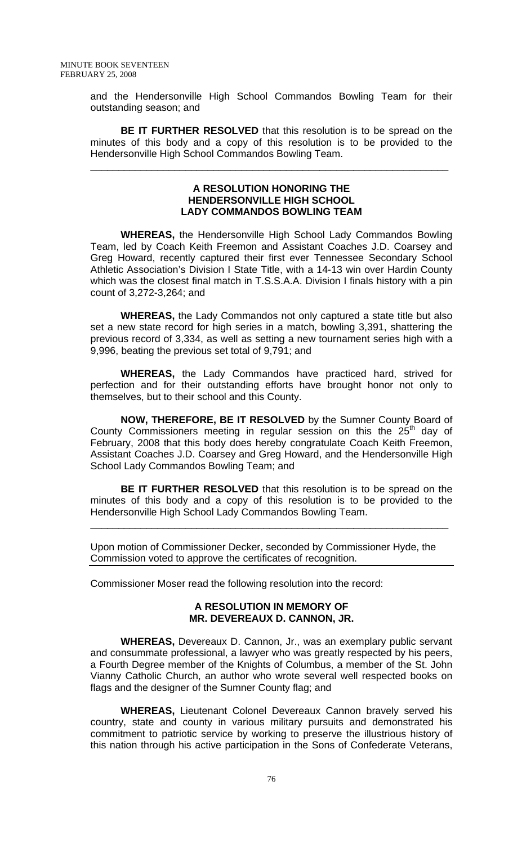and the Hendersonville High School Commandos Bowling Team for their outstanding season; and

**BE IT FURTHER RESOLVED** that this resolution is to be spread on the minutes of this body and a copy of this resolution is to be provided to the Hendersonville High School Commandos Bowling Team.

\_\_\_\_\_\_\_\_\_\_\_\_\_\_\_\_\_\_\_\_\_\_\_\_\_\_\_\_\_\_\_\_\_\_\_\_\_\_\_\_\_\_\_\_\_\_\_\_\_\_\_\_\_\_\_\_\_\_\_\_\_\_\_\_

#### **A RESOLUTION HONORING THE HENDERSONVILLE HIGH SCHOOL LADY COMMANDOS BOWLING TEAM**

 **WHEREAS,** the Hendersonville High School Lady Commandos Bowling Team, led by Coach Keith Freemon and Assistant Coaches J.D. Coarsey and Greg Howard, recently captured their first ever Tennessee Secondary School Athletic Association's Division I State Title, with a 14-13 win over Hardin County which was the closest final match in T.S.S.A.A. Division I finals history with a pin count of 3,272-3,264; and

**WHEREAS,** the Lady Commandos not only captured a state title but also set a new state record for high series in a match, bowling 3,391, shattering the previous record of 3,334, as well as setting a new tournament series high with a 9,996, beating the previous set total of 9,791; and

**WHEREAS,** the Lady Commandos have practiced hard, strived for perfection and for their outstanding efforts have brought honor not only to themselves, but to their school and this County.

**NOW, THEREFORE, BE IT RESOLVED** by the Sumner County Board of County Commissioners meeting in regular session on this the  $25<sup>th</sup>$  day of February, 2008 that this body does hereby congratulate Coach Keith Freemon, Assistant Coaches J.D. Coarsey and Greg Howard, and the Hendersonville High School Lady Commandos Bowling Team; and

**BE IT FURTHER RESOLVED** that this resolution is to be spread on the minutes of this body and a copy of this resolution is to be provided to the Hendersonville High School Lady Commandos Bowling Team.

\_\_\_\_\_\_\_\_\_\_\_\_\_\_\_\_\_\_\_\_\_\_\_\_\_\_\_\_\_\_\_\_\_\_\_\_\_\_\_\_\_\_\_\_\_\_\_\_\_\_\_\_\_\_\_\_\_\_\_\_\_\_\_\_

Upon motion of Commissioner Decker, seconded by Commissioner Hyde, the Commission voted to approve the certificates of recognition.

Commissioner Moser read the following resolution into the record:

## **A RESOLUTION IN MEMORY OF MR. DEVEREAUX D. CANNON, JR.**

 **WHEREAS,** Devereaux D. Cannon, Jr., was an exemplary public servant and consummate professional, a lawyer who was greatly respected by his peers, a Fourth Degree member of the Knights of Columbus, a member of the St. John Vianny Catholic Church, an author who wrote several well respected books on flags and the designer of the Sumner County flag; and

**WHEREAS,** Lieutenant Colonel Devereaux Cannon bravely served his country, state and county in various military pursuits and demonstrated his commitment to patriotic service by working to preserve the illustrious history of this nation through his active participation in the Sons of Confederate Veterans,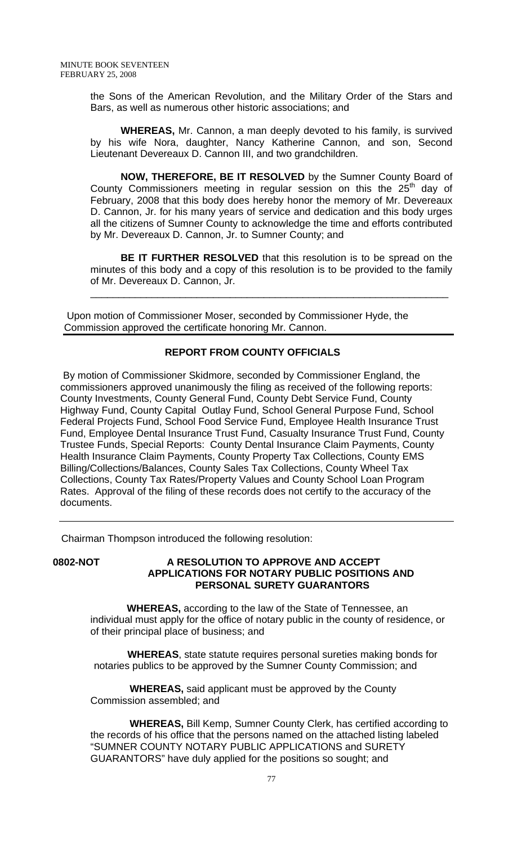the Sons of the American Revolution, and the Military Order of the Stars and Bars, as well as numerous other historic associations; and

**WHEREAS,** Mr. Cannon, a man deeply devoted to his family, is survived by his wife Nora, daughter, Nancy Katherine Cannon, and son, Second Lieutenant Devereaux D. Cannon III, and two grandchildren.

**NOW, THEREFORE, BE IT RESOLVED** by the Sumner County Board of County Commissioners meeting in regular session on this the  $25<sup>th</sup>$  day of February, 2008 that this body does hereby honor the memory of Mr. Devereaux D. Cannon, Jr. for his many years of service and dedication and this body urges all the citizens of Sumner County to acknowledge the time and efforts contributed by Mr. Devereaux D. Cannon, Jr. to Sumner County; and

**BE IT FURTHER RESOLVED** that this resolution is to be spread on the minutes of this body and a copy of this resolution is to be provided to the family of Mr. Devereaux D. Cannon, Jr.

\_\_\_\_\_\_\_\_\_\_\_\_\_\_\_\_\_\_\_\_\_\_\_\_\_\_\_\_\_\_\_\_\_\_\_\_\_\_\_\_\_\_\_\_\_\_\_\_\_\_\_\_\_\_\_\_\_\_\_\_\_\_\_\_

 Upon motion of Commissioner Moser, seconded by Commissioner Hyde, the Commission approved the certificate honoring Mr. Cannon.

# **REPORT FROM COUNTY OFFICIALS**

 By motion of Commissioner Skidmore, seconded by Commissioner England, the commissioners approved unanimously the filing as received of the following reports: County Investments, County General Fund, County Debt Service Fund, County Highway Fund, County Capital Outlay Fund, School General Purpose Fund, School Federal Projects Fund, School Food Service Fund, Employee Health Insurance Trust Fund, Employee Dental Insurance Trust Fund, Casualty Insurance Trust Fund, County Trustee Funds, Special Reports: County Dental Insurance Claim Payments, County Health Insurance Claim Payments, County Property Tax Collections, County EMS Billing/Collections/Balances, County Sales Tax Collections, County Wheel Tax Collections, County Tax Rates/Property Values and County School Loan Program Rates. Approval of the filing of these records does not certify to the accuracy of the documents.

Chairman Thompson introduced the following resolution:

# **0802-NOT A RESOLUTION TO APPROVE AND ACCEPT APPLICATIONS FOR NOTARY PUBLIC POSITIONS AND PERSONAL SURETY GUARANTORS**

 **WHEREAS,** according to the law of the State of Tennessee, an individual must apply for the office of notary public in the county of residence, or of their principal place of business; and

 **WHEREAS**, state statute requires personal sureties making bonds for notaries publics to be approved by the Sumner County Commission; and

 **WHEREAS,** said applicant must be approved by the County Commission assembled; and

 **WHEREAS,** Bill Kemp, Sumner County Clerk, has certified according to the records of his office that the persons named on the attached listing labeled "SUMNER COUNTY NOTARY PUBLIC APPLICATIONS and SURETY GUARANTORS" have duly applied for the positions so sought; and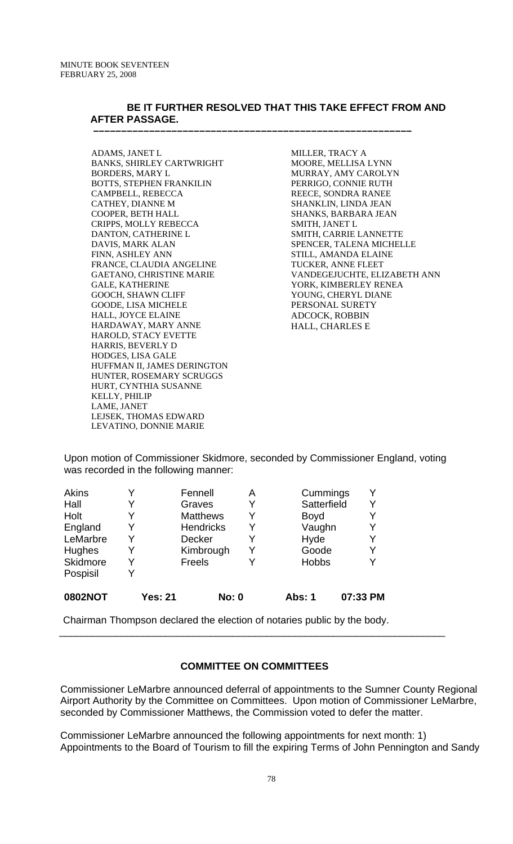## **BE IT FURTHER RESOLVED THAT THIS TAKE EFFECT FROM AND AFTER PASSAGE.**

 **–––––––––––––––––––––––––––––––––––––––––––––––––––––––––** 

ADAMS, JANET L BANKS, SHIRLEY CARTWRIGHT BORDERS, MARY L BOTTS, STEPHEN FRANKILIN CAMPBELL, REBECCA CATHEY, DIANNE M COOPER, BETH HALL CRIPPS, MOLLY REBECCA DANTON, CATHERINE L DAVIS, MARK ALAN FINN, ASHLEY ANN FRANCE, CLAUDIA ANGELINE GAETANO, CHRISTINE MARIE GALE, KATHERINE GOOCH, SHAWN CLIFF GOODE, LISA MICHELE HALL, JOYCE ELAINE HARDAWAY, MARY ANNE HAROLD, STACY EVETTE HARRIS, BEVERLY D HODGES, LISA GALE HUFFMAN II, JAMES DERINGTON HUNTER, ROSEMARY SCRUGGS HURT, CYNTHIA SUSANNE KELLY, PHILIP LAME, JANET LEJSEK, THOMAS EDWARD LEVATINO, DONNIE MARIE

MILLER, TRACY A MOORE, MELLISA LYNN MURRAY, AMY CAROLYN PERRIGO, CONNIE RUTH REECE, SONDRA RANEE SHANKLIN, LINDA JEAN SHANKS, BARBARA JEAN SMITH, JANET L SMITH, CARRIE LANNETTE SPENCER, TALENA MICHELLE STILL, AMANDA ELAINE TUCKER, ANNE FLEET VANDEGEJUCHTE, ELIZABETH ANN YORK, KIMBERLEY RENEA YOUNG, CHERYL DIANE PERSONAL SURETY ADCOCK, ROBBIN HALL, CHARLES E

Upon motion of Commissioner Skidmore, seconded by Commissioner England, voting was recorded in the following manner:

| <b>0802NOT</b> | <b>Yes: 21</b> | <b>No: 0</b>     |   | <b>Abs: 1</b> | 07:33 PM |
|----------------|----------------|------------------|---|---------------|----------|
| Pospisil       | V              |                  |   |               |          |
| Skidmore       |                | Freels           |   | <b>Hobbs</b>  | Y        |
| Hughes         |                | Kimbrough        | Y | Goode         | Y        |
| LeMarbre       |                | <b>Decker</b>    | Y | Hyde          | Y        |
| England        |                | <b>Hendricks</b> | Y | Vaughn        | Y        |
| Holt           | Y              | <b>Matthews</b>  | Y | <b>Boyd</b>   | Y        |
| Hall           |                | Graves           | Y | Satterfield   | Y        |
| Akins          |                | Fennell          | Α | Cummings      | Y        |

Chairman Thompson declared the election of notaries public by the body.

## **COMMITTEE ON COMMITTEES**

\_\_\_\_\_\_\_\_\_\_\_\_\_\_\_\_\_\_\_\_\_\_\_\_\_\_\_\_\_\_\_\_\_\_\_\_\_\_\_\_\_\_\_\_\_\_\_\_\_\_\_\_\_\_\_\_\_\_\_\_\_\_\_\_\_\_\_\_\_

Commissioner LeMarbre announced deferral of appointments to the Sumner County Regional Airport Authority by the Committee on Committees. Upon motion of Commissioner LeMarbre, seconded by Commissioner Matthews, the Commission voted to defer the matter.

Commissioner LeMarbre announced the following appointments for next month: 1) Appointments to the Board of Tourism to fill the expiring Terms of John Pennington and Sandy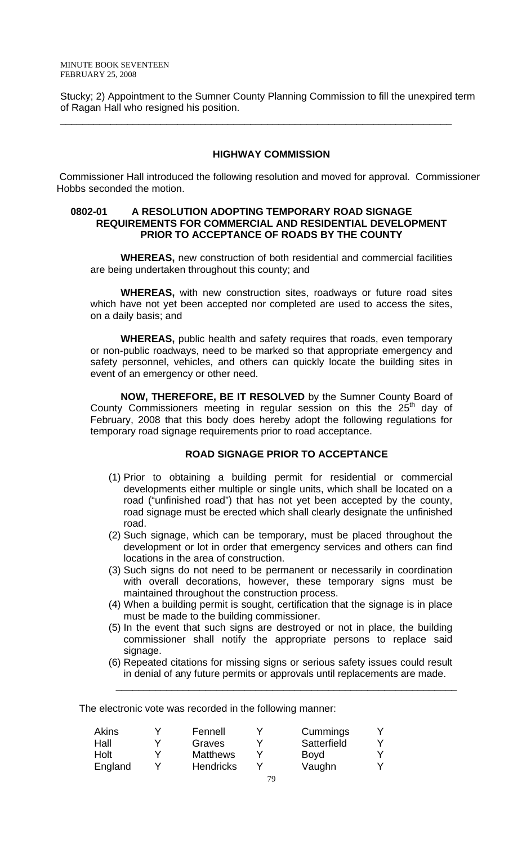Stucky; 2) Appointment to the Sumner County Planning Commission to fill the unexpired term of Ragan Hall who resigned his position.

\_\_\_\_\_\_\_\_\_\_\_\_\_\_\_\_\_\_\_\_\_\_\_\_\_\_\_\_\_\_\_\_\_\_\_\_\_\_\_\_\_\_\_\_\_\_\_\_\_\_\_\_\_\_\_\_\_\_\_\_\_\_\_\_\_\_\_\_\_\_

#### **HIGHWAY COMMISSION**

 Commissioner Hall introduced the following resolution and moved for approval. Commissioner Hobbs seconded the motion.

## **0802-01 A RESOLUTION ADOPTING TEMPORARY ROAD SIGNAGE REQUIREMENTS FOR COMMERCIAL AND RESIDENTIAL DEVELOPMENT PRIOR TO ACCEPTANCE OF ROADS BY THE COUNTY**

**WHEREAS,** new construction of both residential and commercial facilities are being undertaken throughout this county; and

**WHEREAS,** with new construction sites, roadways or future road sites which have not yet been accepted nor completed are used to access the sites, on a daily basis; and

**WHEREAS,** public health and safety requires that roads, even temporary or non-public roadways, need to be marked so that appropriate emergency and safety personnel, vehicles, and others can quickly locate the building sites in event of an emergency or other need.

**NOW, THEREFORE, BE IT RESOLVED** by the Sumner County Board of County Commissioners meeting in regular session on this the  $25<sup>th</sup>$  day of February, 2008 that this body does hereby adopt the following regulations for temporary road signage requirements prior to road acceptance.

## **ROAD SIGNAGE PRIOR TO ACCEPTANCE**

- (1) Prior to obtaining a building permit for residential or commercial developments either multiple or single units, which shall be located on a road ("unfinished road") that has not yet been accepted by the county, road signage must be erected which shall clearly designate the unfinished road.
- (2) Such signage, which can be temporary, must be placed throughout the development or lot in order that emergency services and others can find locations in the area of construction.
- (3) Such signs do not need to be permanent or necessarily in coordination with overall decorations, however, these temporary signs must be maintained throughout the construction process.
- (4) When a building permit is sought, certification that the signage is in place must be made to the building commissioner.
- (5) In the event that such signs are destroyed or not in place, the building commissioner shall notify the appropriate persons to replace said signage.
- (6) Repeated citations for missing signs or serious safety issues could result in denial of any future permits or approvals until replacements are made.

 $\overline{\phantom{a}}$  , and the contribution of the contribution of the contribution of the contribution of the contribution of the contribution of the contribution of the contribution of the contribution of the contribution of the

The electronic vote was recorded in the following manner:

| <b>Akins</b> | v | Fennell          | Cummings    |  |
|--------------|---|------------------|-------------|--|
| Hall         | v | Graves           | Satterfield |  |
| Holt         | V | <b>Matthews</b>  | <b>Boyd</b> |  |
| England      |   | <b>Hendricks</b> | Vaughn      |  |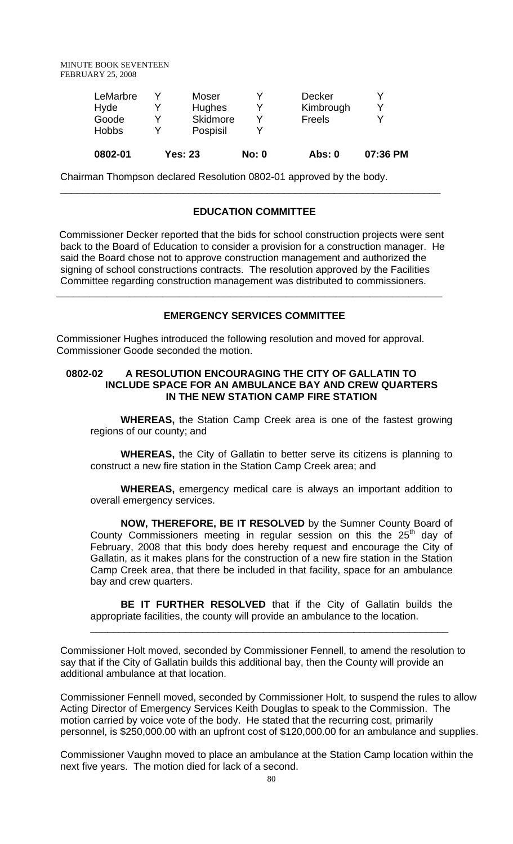|              | <b>Yes: 23</b> | <b>No: 0</b> | <b>Abs: 0</b> | 07:36 PM |
|--------------|----------------|--------------|---------------|----------|
| <b>Hobbs</b> | Pospisil       |              |               |          |
| Goode        | Skidmore       |              | Freels        | v        |
| Hyde         | <b>Hughes</b>  |              | Kimbrough     | v        |
| LeMarbre     | Moser          |              | <b>Decker</b> |          |

Chairman Thompson declared Resolution 0802-01 approved by the body.

## **EDUCATION COMMITTEE**

\_\_\_\_\_\_\_\_\_\_\_\_\_\_\_\_\_\_\_\_\_\_\_\_\_\_\_\_\_\_\_\_\_\_\_\_\_\_\_\_\_\_\_\_\_\_\_\_\_\_\_\_\_\_\_\_\_\_\_\_\_\_\_\_\_\_\_\_

 Commissioner Decker reported that the bids for school construction projects were sent back to the Board of Education to consider a provision for a construction manager. He said the Board chose not to approve construction management and authorized the signing of school constructions contracts. The resolution approved by the Facilities Committee regarding construction management was distributed to commissioners.

#### **EMERGENCY SERVICES COMMITTEE**

**\_\_\_\_\_\_\_\_\_\_\_\_\_\_\_\_\_\_\_\_\_\_\_\_\_\_\_\_\_\_\_\_\_\_\_\_\_\_\_\_\_\_\_\_\_\_\_\_\_\_\_\_\_\_\_\_\_\_\_\_\_\_\_\_\_\_\_\_\_** 

Commissioner Hughes introduced the following resolution and moved for approval. Commissioner Goode seconded the motion.

# **0802-02 A RESOLUTION ENCOURAGING THE CITY OF GALLATIN TO INCLUDE SPACE FOR AN AMBULANCE BAY AND CREW QUARTERS IN THE NEW STATION CAMP FIRE STATION**

 **WHEREAS,** the Station Camp Creek area is one of the fastest growing regions of our county; and

**WHEREAS,** the City of Gallatin to better serve its citizens is planning to construct a new fire station in the Station Camp Creek area; and

**WHEREAS,** emergency medical care is always an important addition to overall emergency services.

**NOW, THEREFORE, BE IT RESOLVED** by the Sumner County Board of County Commissioners meeting in regular session on this the  $25<sup>th</sup>$  day of February, 2008 that this body does hereby request and encourage the City of Gallatin, as it makes plans for the construction of a new fire station in the Station Camp Creek area, that there be included in that facility, space for an ambulance bay and crew quarters.

**BE IT FURTHER RESOLVED** that if the City of Gallatin builds the appropriate facilities, the county will provide an ambulance to the location.

\_\_\_\_\_\_\_\_\_\_\_\_\_\_\_\_\_\_\_\_\_\_\_\_\_\_\_\_\_\_\_\_\_\_\_\_\_\_\_\_\_\_\_\_\_\_\_\_\_\_\_\_\_\_\_\_\_\_\_\_\_\_\_\_

Commissioner Holt moved, seconded by Commissioner Fennell, to amend the resolution to say that if the City of Gallatin builds this additional bay, then the County will provide an additional ambulance at that location.

Commissioner Fennell moved, seconded by Commissioner Holt, to suspend the rules to allow Acting Director of Emergency Services Keith Douglas to speak to the Commission. The motion carried by voice vote of the body. He stated that the recurring cost, primarily personnel, is \$250,000.00 with an upfront cost of \$120,000.00 for an ambulance and supplies.

Commissioner Vaughn moved to place an ambulance at the Station Camp location within the next five years. The motion died for lack of a second.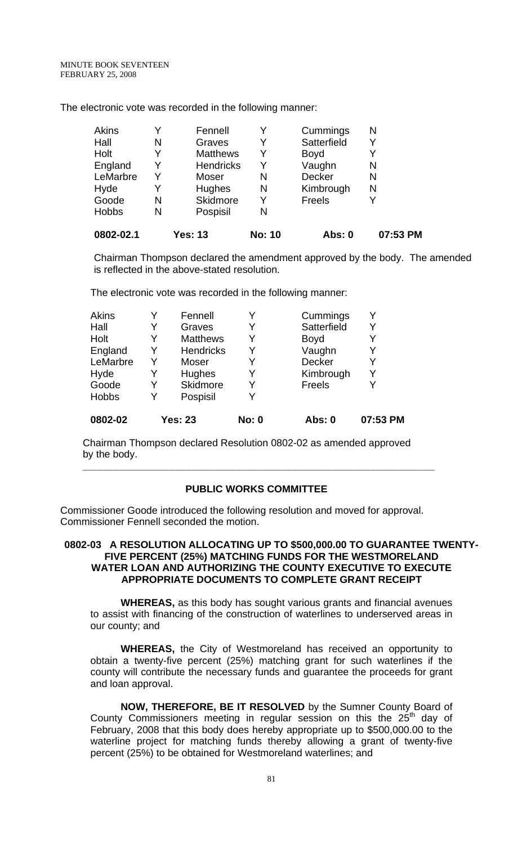The electronic vote was recorded in the following manner:

| 0802-02.1    |   | Yes: 13          | <b>No: 10</b> | Abs: 0      | 07:53 PM |
|--------------|---|------------------|---------------|-------------|----------|
| <b>Hobbs</b> | N | Pospisil         | Ν             |             |          |
| Goode        | N | Skidmore         | Y             | Freels      |          |
| Hyde         | Y | <b>Hughes</b>    | N             | Kimbrough   | N        |
| LeMarbre     | Y | Moser            | N             | Decker      | N        |
| England      | Y | <b>Hendricks</b> | Y             | Vaughn      | N        |
| Holt         | Y | <b>Matthews</b>  | Y             | <b>Boyd</b> |          |
| Hall         | N | Graves           | Y             | Satterfield |          |
| <b>Akins</b> | Y | Fennell          |               | Cummings    | N        |

 Chairman Thompson declared the amendment approved by the body. The amended is reflected in the above-stated resolution.

The electronic vote was recorded in the following manner:

| 0802-02      |   | <b>Yes: 23</b>   | <b>No: 0</b> | Abs: 0        | 07:53 PM |
|--------------|---|------------------|--------------|---------------|----------|
| <b>Hobbs</b> | Y | Pospisil         | Y            |               |          |
| Goode        | Y | <b>Skidmore</b>  | Y            | Freels        |          |
| Hyde         | Y | Hughes           | Y            | Kimbrough     | Y        |
| LeMarbre     | Y | Moser            | Y            | <b>Decker</b> |          |
| England      | Y | <b>Hendricks</b> | Y            | Vaughn        |          |
| Holt         | Y | <b>Matthews</b>  | Y            | <b>Boyd</b>   |          |
| Hall         |   | Graves           | Y            | Satterfield   | Y        |
| Akins        |   | Fennell          | Y            | Cummings      |          |

 Chairman Thompson declared Resolution 0802-02 as amended approved by the body.

**\_\_\_\_\_\_\_\_\_\_\_\_\_\_\_\_\_\_\_\_\_\_\_\_\_\_\_\_\_\_\_\_\_\_\_\_\_\_\_\_\_\_\_\_\_\_\_\_\_\_\_\_\_\_\_\_\_\_\_\_\_\_\_**

# **PUBLIC WORKS COMMITTEE**

Commissioner Goode introduced the following resolution and moved for approval. Commissioner Fennell seconded the motion.

## **0802-03 A RESOLUTION ALLOCATING UP TO \$500,000.00 TO GUARANTEE TWENTY-FIVE PERCENT (25%) MATCHING FUNDS FOR THE WESTMORELAND WATER LOAN AND AUTHORIZING THE COUNTY EXECUTIVE TO EXECUTE APPROPRIATE DOCUMENTS TO COMPLETE GRANT RECEIPT**

 **WHEREAS,** as this body has sought various grants and financial avenues to assist with financing of the construction of waterlines to underserved areas in our county; and

**WHEREAS,** the City of Westmoreland has received an opportunity to obtain a twenty-five percent (25%) matching grant for such waterlines if the county will contribute the necessary funds and guarantee the proceeds for grant and loan approval.

**NOW, THEREFORE, BE IT RESOLVED** by the Sumner County Board of County Commissioners meeting in regular session on this the  $25<sup>th</sup>$  day of February, 2008 that this body does hereby appropriate up to \$500,000.00 to the waterline project for matching funds thereby allowing a grant of twenty-five percent (25%) to be obtained for Westmoreland waterlines; and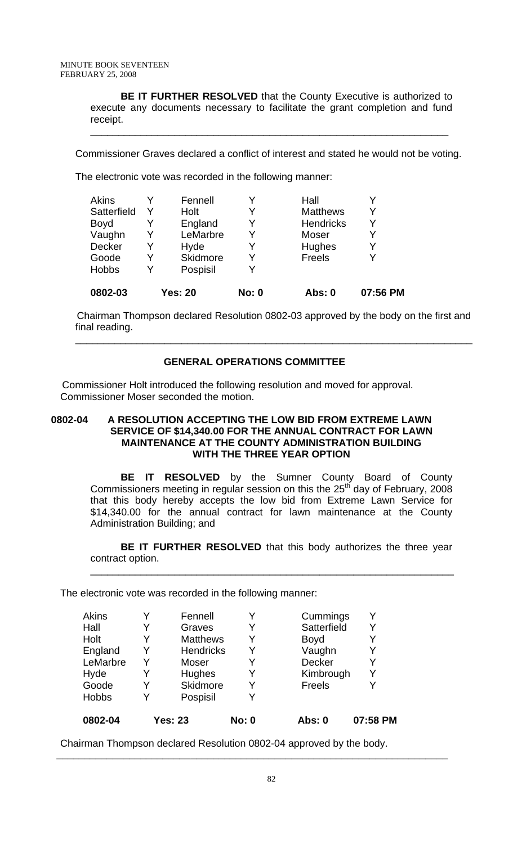**BE IT FURTHER RESOLVED** that the County Executive is authorized to execute any documents necessary to facilitate the grant completion and fund receipt.

Commissioner Graves declared a conflict of interest and stated he would not be voting.

\_\_\_\_\_\_\_\_\_\_\_\_\_\_\_\_\_\_\_\_\_\_\_\_\_\_\_\_\_\_\_\_\_\_\_\_\_\_\_\_\_\_\_\_\_\_\_\_\_\_\_\_\_\_\_\_\_\_\_\_\_\_\_\_

The electronic vote was recorded in the following manner:

| <b>Yes: 20</b>  | <b>No: 0</b> | Abs: 0           | 07:56 PM |
|-----------------|--------------|------------------|----------|
| Pospisil        | v            |                  |          |
| <b>Skidmore</b> | v            | Freels           |          |
| Hyde            | Y            | Hughes           |          |
| LeMarbre        | Y            | Moser            |          |
| England         | Y            | <b>Hendricks</b> |          |
| Holt            | Y            | <b>Matthews</b>  | V        |
| Fennell         | Y            | Hall             |          |
|                 |              |                  |          |

 Chairman Thompson declared Resolution 0802-03 approved by the body on the first and final reading.

# **GENERAL OPERATIONS COMMITTEE**

\_\_\_\_\_\_\_\_\_\_\_\_\_\_\_\_\_\_\_\_\_\_\_\_\_\_\_\_\_\_\_\_\_\_\_\_\_\_\_\_\_\_\_\_\_\_\_\_\_\_\_\_\_\_\_\_\_\_\_\_\_\_\_\_\_\_\_\_\_\_\_

 Commissioner Holt introduced the following resolution and moved for approval. Commissioner Moser seconded the motion.

# **0802-04 A RESOLUTION ACCEPTING THE LOW BID FROM EXTREME LAWN SERVICE OF \$14,340.00 FOR THE ANNUAL CONTRACT FOR LAWN MAINTENANCE AT THE COUNTY ADMINISTRATION BUILDING WITH THE THREE YEAR OPTION**

 **BE IT RESOLVED** by the Sumner County Board of County Commissioners meeting in regular session on this the  $25<sup>th</sup>$  day of February, 2008 that this body hereby accepts the low bid from Extreme Lawn Service for \$14,340.00 for the annual contract for lawn maintenance at the County Administration Building; and

**BE IT FURTHER RESOLVED** that this body authorizes the three year contract option.

\_\_\_\_\_\_\_\_\_\_\_\_\_\_\_\_\_\_\_\_\_\_\_\_\_\_\_\_\_\_\_\_\_\_\_\_\_\_\_\_\_\_\_\_\_\_\_\_\_\_\_\_\_\_\_\_\_\_\_\_\_\_\_\_\_

The electronic vote was recorded in the following manner:

| <b>Akins</b><br>Hall<br>Holt<br>England<br>LeMarbre<br>Hyde |   | Fennell<br>Graves<br><b>Matthews</b><br><b>Hendricks</b><br>Moser<br><b>Hughes</b> | Y<br>Y<br>Y<br>Y<br>Y<br>Y | Cummings<br>Satterfield<br><b>Boyd</b><br>Vaughn<br><b>Decker</b><br>Kimbrough | Y<br>Y<br>Y |
|-------------------------------------------------------------|---|------------------------------------------------------------------------------------|----------------------------|--------------------------------------------------------------------------------|-------------|
| Goode                                                       |   | Skidmore                                                                           | Y                          | Freels                                                                         |             |
| <b>Hobbs</b><br>0802-04                                     | V | Pospisil<br><b>Yes: 23</b>                                                         | Y<br><b>No: 0</b>          | Abs: 0                                                                         | 07:58 PM    |

Chairman Thompson declared Resolution 0802-04 approved by the body.

**\_\_\_\_\_\_\_\_\_\_\_\_\_\_\_\_\_\_\_\_\_\_\_\_\_\_\_\_\_\_\_\_\_\_\_\_\_\_\_\_\_\_\_\_\_\_\_\_\_\_\_\_\_\_\_\_\_\_\_\_\_\_\_\_\_\_\_\_\_\_**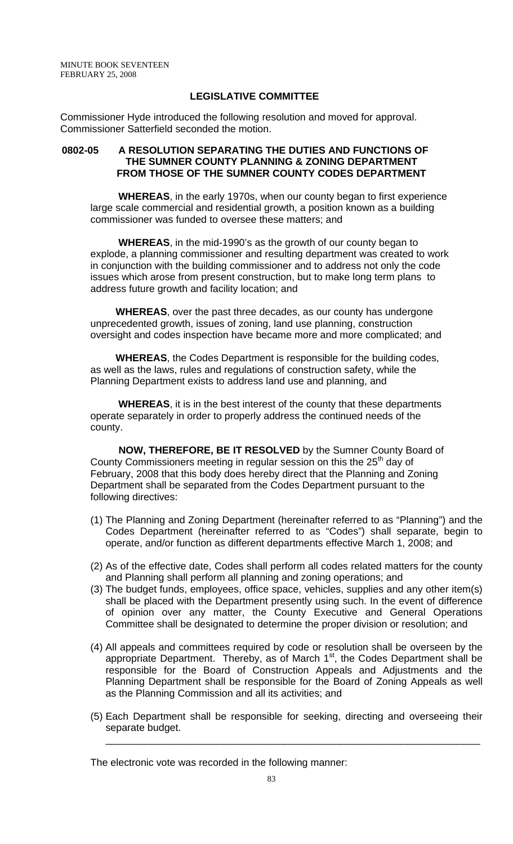## **LEGISLATIVE COMMITTEE**

Commissioner Hyde introduced the following resolution and moved for approval. Commissioner Satterfield seconded the motion.

#### **0802-05 A RESOLUTION SEPARATING THE DUTIES AND FUNCTIONS OF THE SUMNER COUNTY PLANNING & ZONING DEPARTMENT FROM THOSE OF THE SUMNER COUNTY CODES DEPARTMENT**

 **WHEREAS**, in the early 1970s, when our county began to first experience large scale commercial and residential growth, a position known as a building commissioner was funded to oversee these matters; and

 **WHEREAS**, in the mid-1990's as the growth of our county began to explode, a planning commissioner and resulting department was created to work in conjunction with the building commissioner and to address not only the code issues which arose from present construction, but to make long term plans to address future growth and facility location; and

 **WHEREAS**, over the past three decades, as our county has undergone unprecedented growth, issues of zoning, land use planning, construction oversight and codes inspection have became more and more complicated; and

 **WHEREAS**, the Codes Department is responsible for the building codes, as well as the laws, rules and regulations of construction safety, while the Planning Department exists to address land use and planning, and

 **WHEREAS**, it is in the best interest of the county that these departments operate separately in order to properly address the continued needs of the county.

 **NOW, THEREFORE, BE IT RESOLVED** by the Sumner County Board of County Commissioners meeting in regular session on this the  $25<sup>th</sup>$  day of February, 2008 that this body does hereby direct that the Planning and Zoning Department shall be separated from the Codes Department pursuant to the following directives:

- (1) The Planning and Zoning Department (hereinafter referred to as "Planning") and the Codes Department (hereinafter referred to as "Codes") shall separate, begin to operate, and/or function as different departments effective March 1, 2008; and
- (2) As of the effective date, Codes shall perform all codes related matters for the county and Planning shall perform all planning and zoning operations; and
- (3) The budget funds, employees, office space, vehicles, supplies and any other item(s) shall be placed with the Department presently using such. In the event of difference of opinion over any matter, the County Executive and General Operations Committee shall be designated to determine the proper division or resolution; and
- (4) All appeals and committees required by code or resolution shall be overseen by the appropriate Department. Thereby, as of March  $1<sup>st</sup>$ , the Codes Department shall be responsible for the Board of Construction Appeals and Adjustments and the Planning Department shall be responsible for the Board of Zoning Appeals as well as the Planning Commission and all its activities; and
- (5) Each Department shall be responsible for seeking, directing and overseeing their separate budget.

\_\_\_\_\_\_\_\_\_\_\_\_\_\_\_\_\_\_\_\_\_\_\_\_\_\_\_\_\_\_\_\_\_\_\_\_\_\_\_\_\_\_\_\_\_\_\_\_\_\_\_\_\_\_\_\_\_\_\_\_\_\_\_\_\_\_\_

The electronic vote was recorded in the following manner: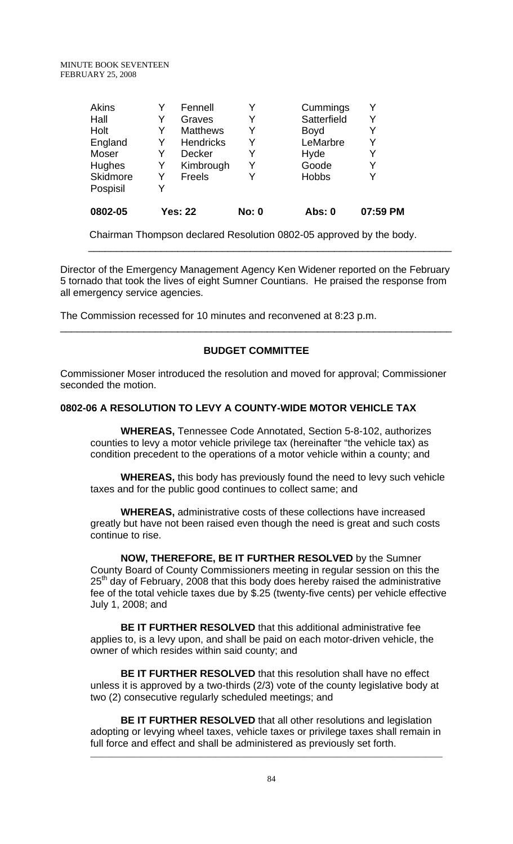| Akins           |   | Fennell          |              | Cummings     |          |
|-----------------|---|------------------|--------------|--------------|----------|
| Hall            |   | Graves           | Y            | Satterfield  |          |
| Holt            | Y | <b>Matthews</b>  | Y            | Boyd         |          |
| England         | Y | <b>Hendricks</b> | Y            | LeMarbre     | Y        |
| Moser           | Y | <b>Decker</b>    | Y            | Hyde         |          |
| Hughes          | Y | Kimbrough        | Y            | Goode        | Y        |
| <b>Skidmore</b> | Y | <b>Freels</b>    | Y            | <b>Hobbs</b> |          |
| Pospisil        |   |                  |              |              |          |
| 0802-05         |   | <b>Yes: 22</b>   | <b>No: 0</b> | Abs: 0       | 07:59 PM |
|                 |   |                  |              |              |          |

 Chairman Thompson declared Resolution 0802-05 approved by the body. \_\_\_\_\_\_\_\_\_\_\_\_\_\_\_\_\_\_\_\_\_\_\_\_\_\_\_\_\_\_\_\_\_\_\_\_\_\_\_\_\_\_\_\_\_\_\_\_\_\_\_\_\_\_\_\_\_\_\_\_\_\_\_\_\_

Director of the Emergency Management Agency Ken Widener reported on the February 5 tornado that took the lives of eight Sumner Countians. He praised the response from all emergency service agencies.

The Commission recessed for 10 minutes and reconvened at 8:23 p.m.

# **BUDGET COMMITTEE**

\_\_\_\_\_\_\_\_\_\_\_\_\_\_\_\_\_\_\_\_\_\_\_\_\_\_\_\_\_\_\_\_\_\_\_\_\_\_\_\_\_\_\_\_\_\_\_\_\_\_\_\_\_\_\_\_\_\_\_\_\_\_\_\_\_\_\_\_\_\_

Commissioner Moser introduced the resolution and moved for approval; Commissioner seconded the motion.

# **0802-06 A RESOLUTION TO LEVY A COUNTY-WIDE MOTOR VEHICLE TAX**

 **WHEREAS,** Tennessee Code Annotated, Section 5-8-102, authorizes counties to levy a motor vehicle privilege tax (hereinafter "the vehicle tax) as condition precedent to the operations of a motor vehicle within a county; and

 **WHEREAS,** this body has previously found the need to levy such vehicle taxes and for the public good continues to collect same; and

 **WHEREAS,** administrative costs of these collections have increased greatly but have not been raised even though the need is great and such costs continue to rise.

 **NOW, THEREFORE, BE IT FURTHER RESOLVED** by the Sumner County Board of County Commissioners meeting in regular session on this the 25<sup>th</sup> day of February, 2008 that this body does hereby raised the administrative fee of the total vehicle taxes due by \$.25 (twenty-five cents) per vehicle effective July 1, 2008; and

 **BE IT FURTHER RESOLVED** that this additional administrative fee applies to, is a levy upon, and shall be paid on each motor-driven vehicle, the owner of which resides within said county; and

 **BE IT FURTHER RESOLVED** that this resolution shall have no effect unless it is approved by a two-thirds (2/3) vote of the county legislative body at two (2) consecutive regularly scheduled meetings; and

 **BE IT FURTHER RESOLVED** that all other resolutions and legislation adopting or levying wheel taxes, vehicle taxes or privilege taxes shall remain in full force and effect and shall be administered as previously set forth.

\_\_\_\_\_\_\_\_\_\_\_\_\_\_\_\_\_\_\_\_\_\_\_\_\_\_\_\_\_\_\_\_\_\_\_\_\_\_\_\_\_\_\_\_\_\_\_\_\_\_\_\_\_\_\_\_\_\_\_\_\_\_\_\_\_\_\_\_\_\_\_\_\_\_\_\_\_\_\_\_\_\_\_\_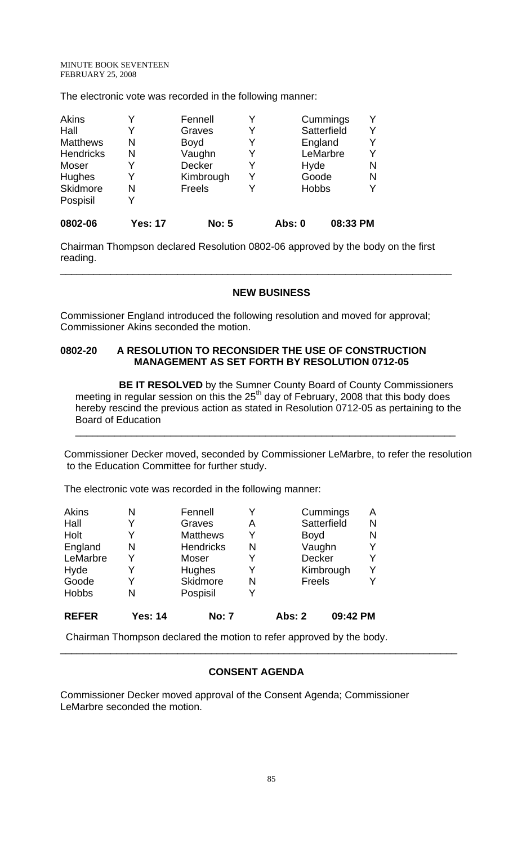The electronic vote was recorded in the following manner:

| <b>Akins</b>     |                | Fennell       |   |              | Cummings    |   |
|------------------|----------------|---------------|---|--------------|-------------|---|
| Hall             | Y              | Graves        | Y |              | Satterfield |   |
| <b>Matthews</b>  | N              | <b>Boyd</b>   | Y |              | England     |   |
| <b>Hendricks</b> | N              | Vaughn        | Y |              | LeMarbre    |   |
| Moser            | Y              | <b>Decker</b> | Y | Hyde         |             | N |
| Hughes           | Y              | Kimbrough     | Y | Goode        |             | N |
| Skidmore         | N              | <b>Freels</b> |   | <b>Hobbs</b> |             |   |
| Pospisil         | Y              |               |   |              |             |   |
| 0802-06          | <b>Yes: 17</b> | <b>No: 5</b>  |   | Abs: 0       | 08:33 PM    |   |

Chairman Thompson declared Resolution 0802-06 approved by the body on the first reading.

\_\_\_\_\_\_\_\_\_\_\_\_\_\_\_\_\_\_\_\_\_\_\_\_\_\_\_\_\_\_\_\_\_\_\_\_\_\_\_\_\_\_\_\_\_\_\_\_\_\_\_\_\_\_\_\_\_\_\_\_\_\_\_\_\_\_\_\_\_\_

## **NEW BUSINESS**

Commissioner England introduced the following resolution and moved for approval; Commissioner Akins seconded the motion.

# **0802-20 A RESOLUTION TO RECONSIDER THE USE OF CONSTRUCTION MANAGEMENT AS SET FORTH BY RESOLUTION 0712-05**

 **BE IT RESOLVED** by the Sumner County Board of County Commissioners meeting in regular session on this the  $25<sup>th</sup>$  day of February, 2008 that this body does hereby rescind the previous action as stated in Resolution 0712-05 as pertaining to the Board of Education

Commissioner Decker moved, seconded by Commissioner LeMarbre, to refer the resolution to the Education Committee for further study.

 $\overline{\phantom{a}}$  , and the contribution of the contribution of the contribution of the contribution of the contribution of the contribution of the contribution of the contribution of the contribution of the contribution of the

The electronic vote was recorded in the following manner:

| <b>Akins</b> | N              | Fennell          | Y |               | Cummings    | A |
|--------------|----------------|------------------|---|---------------|-------------|---|
| Hall         | Y              | Graves           | Α |               | Satterfield | N |
| Holt         | Y              | <b>Matthews</b>  | Y | <b>Boyd</b>   |             | N |
| England      | N              | <b>Hendricks</b> | N | Vaughn        |             |   |
| LeMarbre     | Y              | Moser            | Y | <b>Decker</b> |             |   |
| Hyde         | Y              | Hughes           | Y |               | Kimbrough   |   |
| Goode        | Y              | <b>Skidmore</b>  | N | Freels        |             |   |
| <b>Hobbs</b> | N              | Pospisil         | Y |               |             |   |
| <b>REFER</b> | <b>Yes: 14</b> | <b>No: 7</b>     |   | <b>Abs: 2</b> | 09:42 PM    |   |

Chairman Thompson declared the motion to refer approved by the body.

## **CONSENT AGENDA**

\_\_\_\_\_\_\_\_\_\_\_\_\_\_\_\_\_\_\_\_\_\_\_\_\_\_\_\_\_\_\_\_\_\_\_\_\_\_\_\_\_\_\_\_\_\_\_\_\_\_\_\_\_\_\_\_\_\_\_\_\_\_\_\_\_\_\_\_\_\_\_

Commissioner Decker moved approval of the Consent Agenda; Commissioner LeMarbre seconded the motion.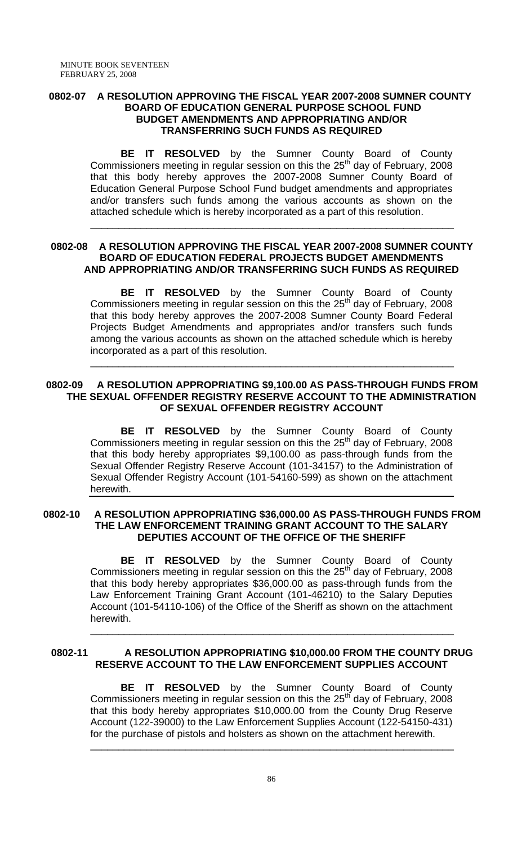# **0802-07 A RESOLUTION APPROVING THE FISCAL YEAR 2007-2008 SUMNER COUNTY BOARD OF EDUCATION GENERAL PURPOSE SCHOOL FUND BUDGET AMENDMENTS AND APPROPRIATING AND/OR TRANSFERRING SUCH FUNDS AS REQUIRED**

 **BE IT RESOLVED** by the Sumner County Board of County Commissioners meeting in regular session on this the  $25<sup>th</sup>$  day of February, 2008 that this body hereby approves the 2007-2008 Sumner County Board of Education General Purpose School Fund budget amendments and appropriates and/or transfers such funds among the various accounts as shown on the attached schedule which is hereby incorporated as a part of this resolution.

# **0802-08 A RESOLUTION APPROVING THE FISCAL YEAR 2007-2008 SUMNER COUNTY BOARD OF EDUCATION FEDERAL PROJECTS BUDGET AMENDMENTS AND APPROPRIATING AND/OR TRANSFERRING SUCH FUNDS AS REQUIRED**

 $\overline{\phantom{a}}$  , and the contribution of the contribution of the contribution of the contribution of the contribution of the contribution of the contribution of the contribution of the contribution of the contribution of the

 **BE IT RESOLVED** by the Sumner County Board of County Commissioners meeting in regular session on this the  $25<sup>th</sup>$  day of February, 2008 that this body hereby approves the 2007-2008 Sumner County Board Federal Projects Budget Amendments and appropriates and/or transfers such funds among the various accounts as shown on the attached schedule which is hereby incorporated as a part of this resolution.

# **0802-09 A RESOLUTION APPROPRIATING \$9,100.00 AS PASS-THROUGH FUNDS FROM THE SEXUAL OFFENDER REGISTRY RESERVE ACCOUNT TO THE ADMINISTRATION OF SEXUAL OFFENDER REGISTRY ACCOUNT**

 $\overline{\phantom{a}}$  , and the contribution of the contribution of the contribution of the contribution of the contribution of the contribution of the contribution of the contribution of the contribution of the contribution of the

 **BE IT RESOLVED** by the Sumner County Board of County Commissioners meeting in regular session on this the  $25<sup>th</sup>$  day of February, 2008 that this body hereby appropriates \$9,100.00 as pass-through funds from the Sexual Offender Registry Reserve Account (101-34157) to the Administration of Sexual Offender Registry Account (101-54160-599) as shown on the attachment herewith.

#### **0802-10 A RESOLUTION APPROPRIATING \$36,000.00 AS PASS-THROUGH FUNDS FROM THE LAW ENFORCEMENT TRAINING GRANT ACCOUNT TO THE SALARY DEPUTIES ACCOUNT OF THE OFFICE OF THE SHERIFF**

 **BE IT RESOLVED** by the Sumner County Board of County Commissioners meeting in regular session on this the  $25<sup>th</sup>$  day of February, 2008 that this body hereby appropriates \$36,000.00 as pass-through funds from the Law Enforcement Training Grant Account (101-46210) to the Salary Deputies Account (101-54110-106) of the Office of the Sheriff as shown on the attachment herewith.

# **0802-11 A RESOLUTION APPROPRIATING \$10,000.00 FROM THE COUNTY DRUG RESERVE ACCOUNT TO THE LAW ENFORCEMENT SUPPLIES ACCOUNT**

 $\overline{\phantom{a}}$  , and the contribution of the contribution of the contribution of the contribution of the contribution of the contribution of the contribution of the contribution of the contribution of the contribution of the

 **BE IT RESOLVED** by the Sumner County Board of County Commissioners meeting in regular session on this the  $25<sup>th</sup>$  day of February, 2008 that this body hereby appropriates \$10,000.00 from the County Drug Reserve Account (122-39000) to the Law Enforcement Supplies Account (122-54150-431) for the purchase of pistols and holsters as shown on the attachment herewith.

 $\overline{\phantom{a}}$  , and the contribution of the contribution of the contribution of the contribution of the contribution of the contribution of the contribution of the contribution of the contribution of the contribution of the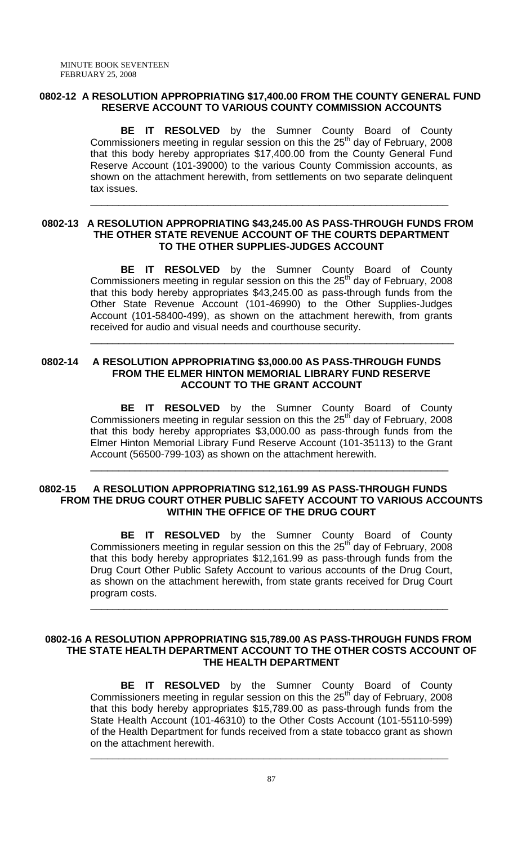## **0802-12 A RESOLUTION APPROPRIATING \$17,400.00 FROM THE COUNTY GENERAL FUND RESERVE ACCOUNT TO VARIOUS COUNTY COMMISSION ACCOUNTS**

 **BE IT RESOLVED** by the Sumner County Board of County Commissioners meeting in regular session on this the  $25<sup>th</sup>$  day of February, 2008 that this body hereby appropriates \$17,400.00 from the County General Fund Reserve Account (101-39000) to the various County Commission accounts, as shown on the attachment herewith, from settlements on two separate delinquent tax issues.

\_\_\_\_\_\_\_\_\_\_\_\_\_\_\_\_\_\_\_\_\_\_\_\_\_\_\_\_\_\_\_\_\_\_\_\_\_\_\_\_\_\_\_\_\_\_\_\_\_\_\_\_\_\_\_\_\_\_\_\_\_\_\_\_

#### **0802-13 A RESOLUTION APPROPRIATING \$43,245.00 AS PASS-THROUGH FUNDS FROM THE OTHER STATE REVENUE ACCOUNT OF THE COURTS DEPARTMENT TO THE OTHER SUPPLIES-JUDGES ACCOUNT**

 $\overline{\phantom{a}}$  , and the contribution of the contribution of the contribution of the contribution of the contribution of the contribution of the contribution of the contribution of the contribution of the contribution of the

 **BE IT RESOLVED** by the Sumner County Board of County Commissioners meeting in regular session on this the  $25<sup>th</sup>$  day of February, 2008 that this body hereby appropriates \$43,245.00 as pass-through funds from the Other State Revenue Account (101-46990) to the Other Supplies-Judges Account (101-58400-499), as shown on the attachment herewith, from grants received for audio and visual needs and courthouse security.

# **0802-14 A RESOLUTION APPROPRIATING \$3,000.00 AS PASS-THROUGH FUNDS FROM THE ELMER HINTON MEMORIAL LIBRARY FUND RESERVE ACCOUNT TO THE GRANT ACCOUNT**

**BE IT RESOLVED** by the Sumner County Board of County Commissioners meeting in regular session on this the  $25<sup>th</sup>$  day of February, 2008 that this body hereby appropriates \$3,000.00 as pass-through funds from the Elmer Hinton Memorial Library Fund Reserve Account (101-35113) to the Grant Account (56500-799-103) as shown on the attachment herewith.

\_\_\_\_\_\_\_\_\_\_\_\_\_\_\_\_\_\_\_\_\_\_\_\_\_\_\_\_\_\_\_\_\_\_\_\_\_\_\_\_\_\_\_\_\_\_\_\_\_\_\_\_\_\_\_\_\_\_\_\_\_\_\_\_

#### **0802-15 A RESOLUTION APPROPRIATING \$12,161.99 AS PASS-THROUGH FUNDS FROM THE DRUG COURT OTHER PUBLIC SAFETY ACCOUNT TO VARIOUS ACCOUNTS WITHIN THE OFFICE OF THE DRUG COURT**

**BE IT RESOLVED** by the Sumner County Board of County Commissioners meeting in regular session on this the 25<sup>th</sup> day of February, 2008 that this body hereby appropriates \$12,161.99 as pass-through funds from the Drug Court Other Public Safety Account to various accounts of the Drug Court, as shown on the attachment herewith, from state grants received for Drug Court program costs.

\_\_\_\_\_\_\_\_\_\_\_\_\_\_\_\_\_\_\_\_\_\_\_\_\_\_\_\_\_\_\_\_\_\_\_\_\_\_\_\_\_\_\_\_\_\_\_\_\_\_\_\_\_\_\_\_\_\_\_\_\_\_\_\_

#### **0802-16 A RESOLUTION APPROPRIATING \$15,789.00 AS PASS-THROUGH FUNDS FROM THE STATE HEALTH DEPARTMENT ACCOUNT TO THE OTHER COSTS ACCOUNT OF THE HEALTH DEPARTMENT**

 **BE IT RESOLVED** by the Sumner County Board of County Commissioners meeting in regular session on this the  $25<sup>th</sup>$  day of February, 2008 that this body hereby appropriates \$15,789.00 as pass-through funds from the State Health Account (101-46310) to the Other Costs Account (101-55110-599) of the Health Department for funds received from a state tobacco grant as shown on the attachment herewith.

**\_\_\_\_\_\_\_\_\_\_\_\_\_\_\_\_\_\_\_\_\_\_\_\_\_\_\_\_\_\_\_\_\_\_\_\_\_\_\_\_\_\_\_\_\_\_\_\_\_\_\_\_\_\_\_\_\_\_\_\_\_\_\_\_**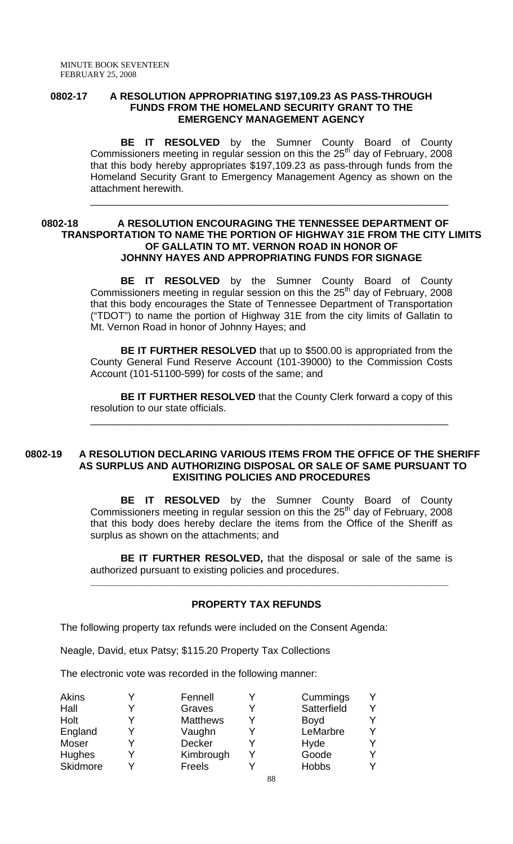#### **0802-17 A RESOLUTION APPROPRIATING \$197,109.23 AS PASS-THROUGH FUNDS FROM THE HOMELAND SECURITY GRANT TO THE EMERGENCY MANAGEMENT AGENCY**

 **BE IT RESOLVED** by the Sumner County Board of County Commissioners meeting in regular session on this the  $25<sup>th</sup>$  day of February, 2008 that this body hereby appropriates \$197,109.23 as pass-through funds from the Homeland Security Grant to Emergency Management Agency as shown on the attachment herewith.

\_\_\_\_\_\_\_\_\_\_\_\_\_\_\_\_\_\_\_\_\_\_\_\_\_\_\_\_\_\_\_\_\_\_\_\_\_\_\_\_\_\_\_\_\_\_\_\_\_\_\_\_\_\_\_\_\_\_\_\_\_\_\_\_

# **0802-18 A RESOLUTION ENCOURAGING THE TENNESSEE DEPARTMENT OF TRANSPORTATION TO NAME THE PORTION OF HIGHWAY 31E FROM THE CITY LIMITS OF GALLATIN TO MT. VERNON ROAD IN HONOR OF JOHNNY HAYES AND APPROPRIATING FUNDS FOR SIGNAGE**

 **BE IT RESOLVED** by the Sumner County Board of County Commissioners meeting in regular session on this the  $25<sup>th</sup>$  day of February, 2008 that this body encourages the State of Tennessee Department of Transportation ("TDOT") to name the portion of Highway 31E from the city limits of Gallatin to Mt. Vernon Road in honor of Johnny Hayes; and

**BE IT FURTHER RESOLVED** that up to \$500.00 is appropriated from the County General Fund Reserve Account (101-39000) to the Commission Costs Account (101-51100-599) for costs of the same; and

**BE IT FURTHER RESOLVED** that the County Clerk forward a copy of this resolution to our state officials.

\_\_\_\_\_\_\_\_\_\_\_\_\_\_\_\_\_\_\_\_\_\_\_\_\_\_\_\_\_\_\_\_\_\_\_\_\_\_\_\_\_\_\_\_\_\_\_\_\_\_\_\_\_\_\_\_\_\_\_\_\_\_\_\_

#### **0802-19 A RESOLUTION DECLARING VARIOUS ITEMS FROM THE OFFICE OF THE SHERIFF AS SURPLUS AND AUTHORIZING DISPOSAL OR SALE OF SAME PURSUANT TO EXISITING POLICIES AND PROCEDURES**

 **BE IT RESOLVED** by the Sumner County Board of County Commissioners meeting in regular session on this the  $25<sup>th</sup>$  day of February, 2008 that this body does hereby declare the items from the Office of the Sheriff as surplus as shown on the attachments; and

**BE IT FURTHER RESOLVED,** that the disposal or sale of the same is authorized pursuant to existing policies and procedures.

**\_\_\_\_\_\_\_\_\_\_\_\_\_\_\_\_\_\_\_\_\_\_\_\_\_\_\_\_\_\_\_\_\_\_\_\_\_\_\_\_\_\_\_\_\_\_\_\_\_\_\_\_\_\_\_\_\_\_\_\_\_\_\_\_** 

# **PROPERTY TAX REFUNDS**

The following property tax refunds were included on the Consent Agenda:

Neagle, David, etux Patsy; \$115.20 Property Tax Collections

The electronic vote was recorded in the following manner:

| Akins        | Fennell         | Cummings     |  |
|--------------|-----------------|--------------|--|
| Hall         | Graves          | Satterfield  |  |
| Holt         | <b>Matthews</b> | <b>Boyd</b>  |  |
| England      | Vaughn          | LeMarbre     |  |
| <b>Moser</b> | <b>Decker</b>   | Hyde         |  |
| Hughes       | Kimbrough       | Goode        |  |
| Skidmore     | Freels          | <b>Hobbs</b> |  |